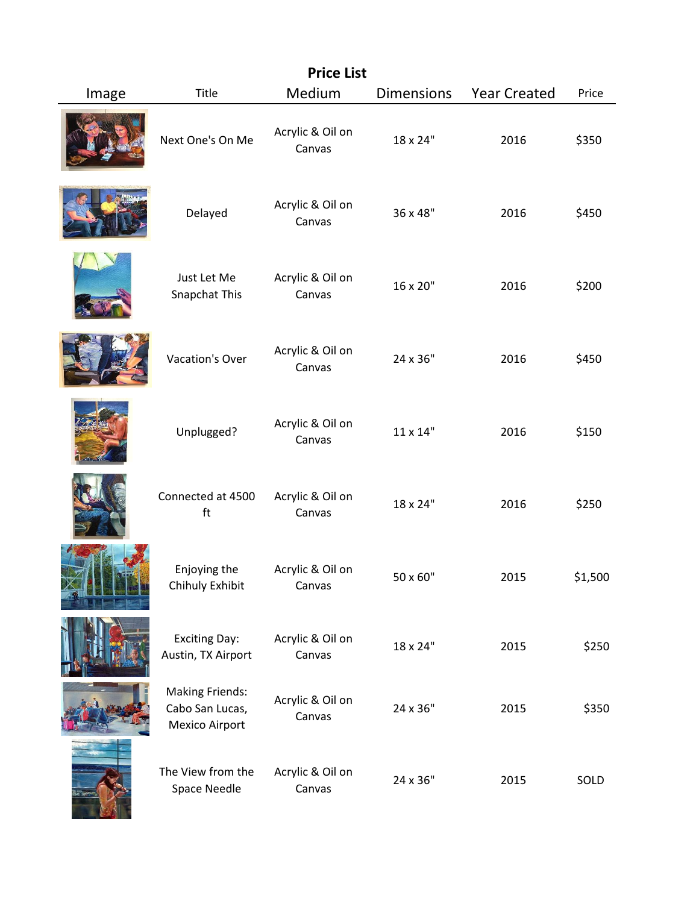| <b>Price List</b> |                                                             |                            |                   |                     |         |
|-------------------|-------------------------------------------------------------|----------------------------|-------------------|---------------------|---------|
| Image             | Title                                                       | Medium                     | <b>Dimensions</b> | <b>Year Created</b> | Price   |
|                   | Next One's On Me                                            | Acrylic & Oil on<br>Canvas | 18 x 24"          | 2016                | \$350   |
|                   | Delayed                                                     | Acrylic & Oil on<br>Canvas | 36 x 48"          | 2016                | \$450   |
|                   | Just Let Me<br>Snapchat This                                | Acrylic & Oil on<br>Canvas | 16 x 20"          | 2016                | \$200   |
|                   | Vacation's Over                                             | Acrylic & Oil on<br>Canvas | 24 x 36"          | 2016                | \$450   |
|                   | Unplugged?                                                  | Acrylic & Oil on<br>Canvas | 11 x 14"          | 2016                | \$150   |
|                   | Connected at 4500<br>ft                                     | Acrylic & Oil on<br>Canvas | 18 x 24"          | 2016                | \$250   |
|                   | Enjoying the<br>Chihuly Exhibit                             | Acrylic & Oil on<br>Canvas | 50 x 60"          | 2015                | \$1,500 |
|                   | <b>Exciting Day:</b><br>Austin, TX Airport                  | Acrylic & Oil on<br>Canvas | 18 x 24"          | 2015                | \$250   |
|                   | <b>Making Friends:</b><br>Cabo San Lucas,<br>Mexico Airport | Acrylic & Oil on<br>Canvas | 24 x 36"          | 2015                | \$350   |
|                   | The View from the<br>Space Needle                           | Acrylic & Oil on<br>Canvas | 24 x 36"          | 2015                | SOLD    |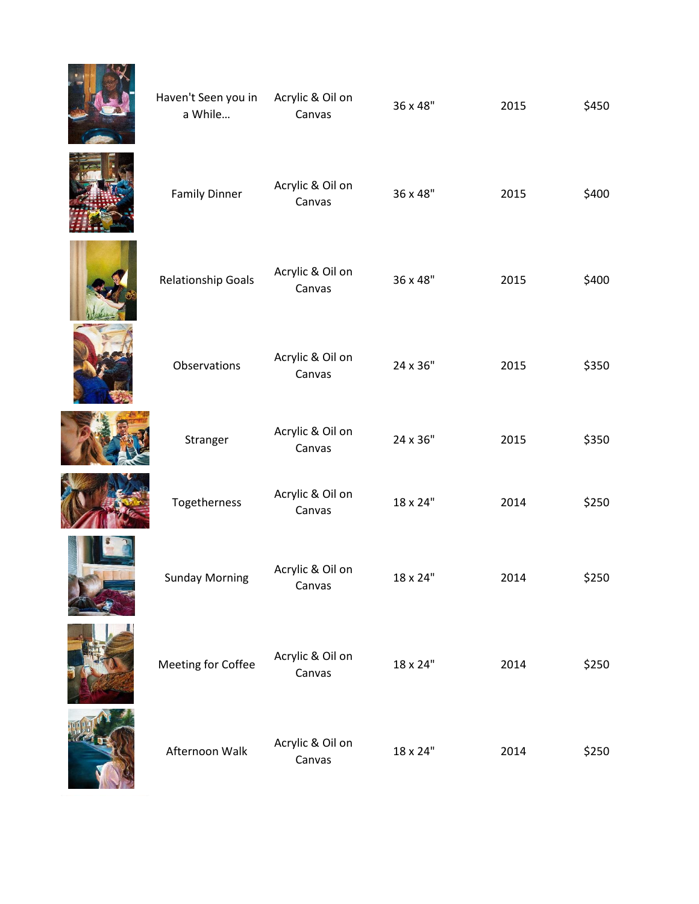| Haven't Seen you in<br>a While | Acrylic & Oil on<br>Canvas | 36 x 48" | 2015 | \$450 |
|--------------------------------|----------------------------|----------|------|-------|
| <b>Family Dinner</b>           | Acrylic & Oil on<br>Canvas | 36 x 48" | 2015 | \$400 |
| <b>Relationship Goals</b>      | Acrylic & Oil on<br>Canvas | 36 x 48" | 2015 | \$400 |
| Observations                   | Acrylic & Oil on<br>Canvas | 24 x 36" | 2015 | \$350 |
| Stranger                       | Acrylic & Oil on<br>Canvas | 24 x 36" | 2015 | \$350 |
| Togetherness                   | Acrylic & Oil on<br>Canvas | 18 x 24" | 2014 | \$250 |
| <b>Sunday Morning</b>          | Acrylic & Oil on<br>Canvas | 18 x 24" | 2014 | \$250 |
| Meeting for Coffee             | Acrylic & Oil on<br>Canvas | 18 x 24" | 2014 | \$250 |
| Afternoon Walk                 | Acrylic & Oil on<br>Canvas | 18 x 24" | 2014 | \$250 |